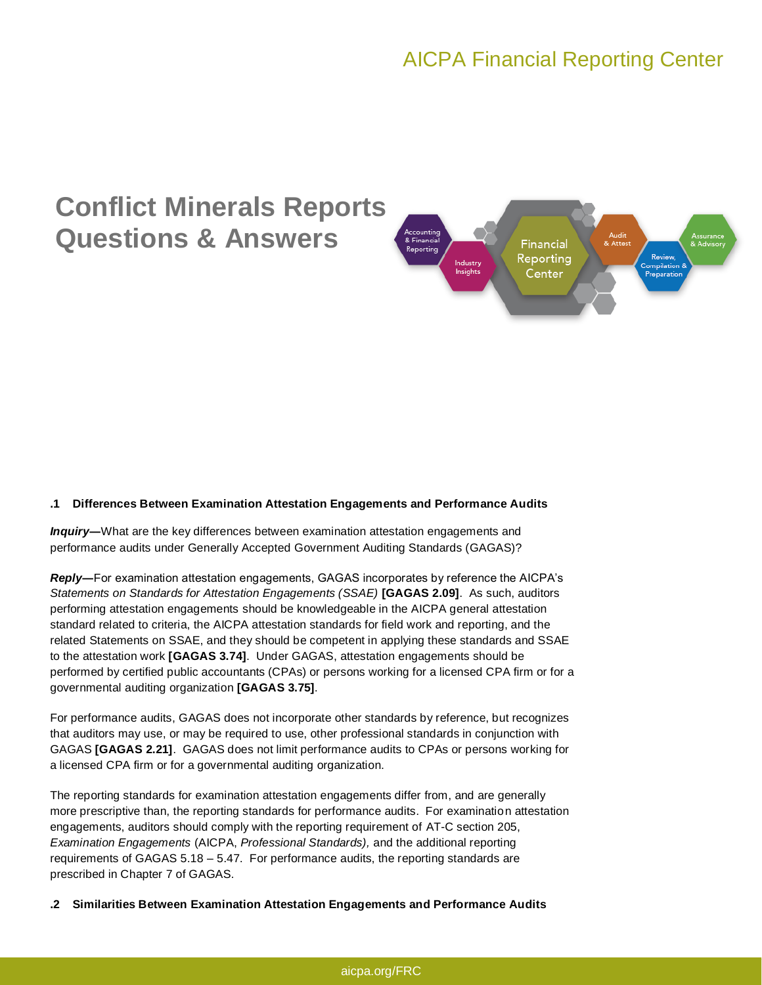# **Conflict Minerals Reports Questions & Answers**



## **.1 Differences Between Examination Attestation Engagements and Performance Audits**

*Inquiry***―**What are the key differences between examination attestation engagements and performance audits under Generally Accepted Government Auditing Standards (GAGAS)?

*Reply***―**For examination attestation engagements, GAGAS incorporates by reference the AICPA's *Statements on Standards for Attestation Engagements (SSAE)* **[GAGAS 2.09]**. As such, auditors performing attestation engagements should be knowledgeable in the AICPA general attestation standard related to criteria, the AICPA attestation standards for field work and reporting, and the related Statements on SSAE, and they should be competent in applying these standards and SSAE to the attestation work **[GAGAS 3.74]**. Under GAGAS, attestation engagements should be performed by certified public accountants (CPAs) or persons working for a licensed CPA firm or for a governmental auditing organization **[GAGAS 3.75]**.

For performance audits, GAGAS does not incorporate other standards by reference, but recognizes that auditors may use, or may be required to use, other professional standards in conjunction with GAGAS **[GAGAS 2.21]**. GAGAS does not limit performance audits to CPAs or persons working for a licensed CPA firm or for a governmental auditing organization.

The reporting standards for examination attestation engagements differ from, and are generally more prescriptive than, the reporting standards for performance audits. For examination attestation engagements, auditors should comply with the reporting requirement of AT-C section 205, *Examination Engagements* (AICPA, *Professional Standards),* and the additional reporting requirements of GAGAS 5.18 – 5.47. For performance audits, the reporting standards are prescribed in Chapter 7 of GAGAS.

**.2 Similarities Between Examination Attestation Engagements and Performance Audits**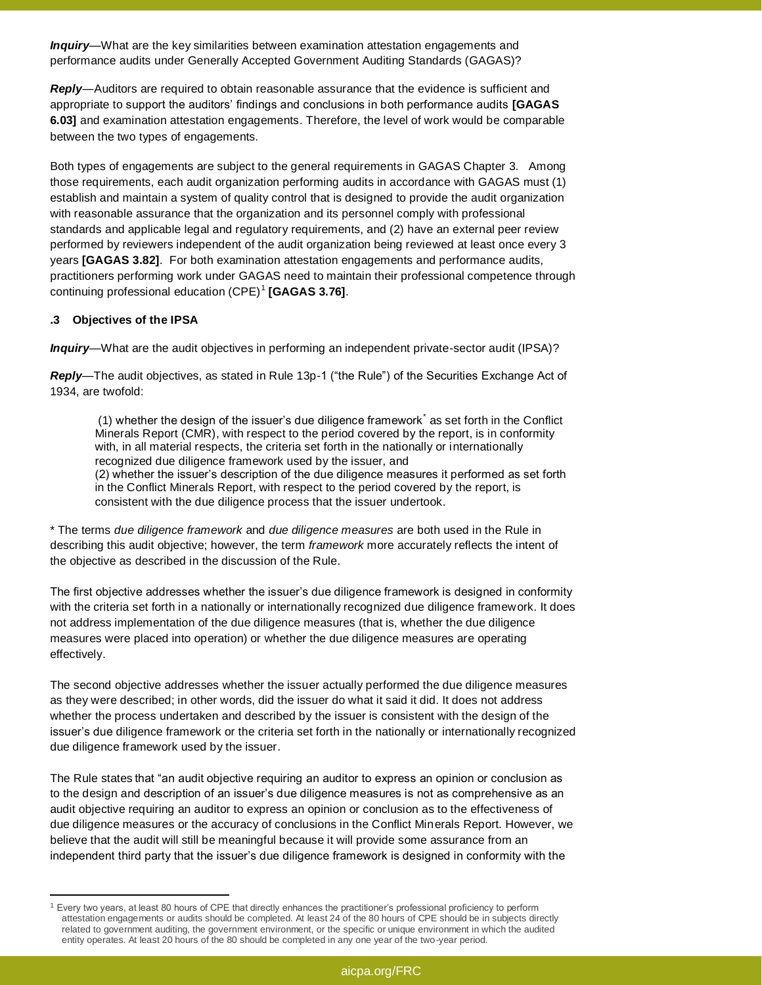*Inquiry—*What are the key similarities between examination attestation engagements and performance audits under Generally Accepted Government Auditing Standards (GAGAS)?

*Reply―*Auditors are required to obtain reasonable assurance that the evidence is sufficient and appropriate to support the auditors' findings and conclusions in both performance audits **[GAGAS 6.03]** and examination attestation engagements. Therefore, the level of work would be comparable between the two types of engagements.

Both types of engagements are subject to the general requirements in GAGAS Chapter 3. Among those requirements, each audit organization performing audits in accordance with GAGAS must (1) establish and maintain a system of quality control that is designed to provide the audit organization with reasonable assurance that the organization and its personnel comply with professional standards and applicable legal and regulatory requirements, and (2) have an external peer review performed by reviewers independent of the audit organization being reviewed at least once every 3 years **[GAGAS 3.82]**. For both examination attestation engagements and performance audits, practitioners performing work under GAGAS need to maintain their professional competence through continuing professional education (CPE)<sup>1</sup> **[GAGAS 3.76]**.

## **.3 Objectives of the IPSA**

 $\ddot{\phantom{a}}$ 

*Inquiry*—What are the audit objectives in performing an independent private-sector audit (IPSA)?

*Reply—*The audit objectives, as stated in Rule 13p-1 ("the Rule") of the Securities Exchange Act of 1934, are twofold:

(1) whether the design of the issuer's due diligence framework\* as set forth in the Conflict Minerals Report (CMR), with respect to the period covered by the report, is in conformity with, in all material respects, the criteria set forth in the nationally or internationally recognized due diligence framework used by the issuer, and (2) whether the issuer's description of the due diligence measures it performed as set forth

in the Conflict Minerals Report, with respect to the period covered by the report, is consistent with the due diligence process that the issuer undertook.

\* The terms *due diligence framework* and *due diligence measures* are both used in the Rule in describing this audit objective; however, the term *framework* more accurately reflects the intent of the objective as described in the discussion of the Rule.

The first objective addresses whether the issuer's due diligence framework is designed in conformity with the criteria set forth in a nationally or internationally recognized due diligence framework. It does not address implementation of the due diligence measures (that is, whether the due diligence measures were placed into operation) or whether the due diligence measures are operating effectively.

The second objective addresses whether the issuer actually performed the due diligence measures as they were described; in other words, did the issuer do what it said it did. It does not address whether the process undertaken and described by the issuer is consistent with the design of the issuer's due diligence framework or the criteria set forth in the nationally or internationally recognized due diligence framework used by the issuer.

The Rule states that "an audit objective requiring an auditor to express an opinion or conclusion as to the design and description of an issuer's due diligence measures is not as comprehensive as an audit objective requiring an auditor to express an opinion or conclusion as to the effectiveness of due diligence measures or the accuracy of conclusions in the Conflict Minerals Report. However, we believe that the audit will still be meaningful because it will provide some assurance from an independent third party that the issuer's due diligence framework is designed in conformity with the

 $1$  Every two years, at least 80 hours of CPE that directly enhances the practitioner's professional proficiency to perform attestation engagements or audits should be completed. At least 24 of the 80 hours of CPE should be in subjects directly related to government auditing, the government environment, or the specific or unique environment in which the audited entity operates. At least 20 hours of the 80 should be completed in any one year of the two-year period.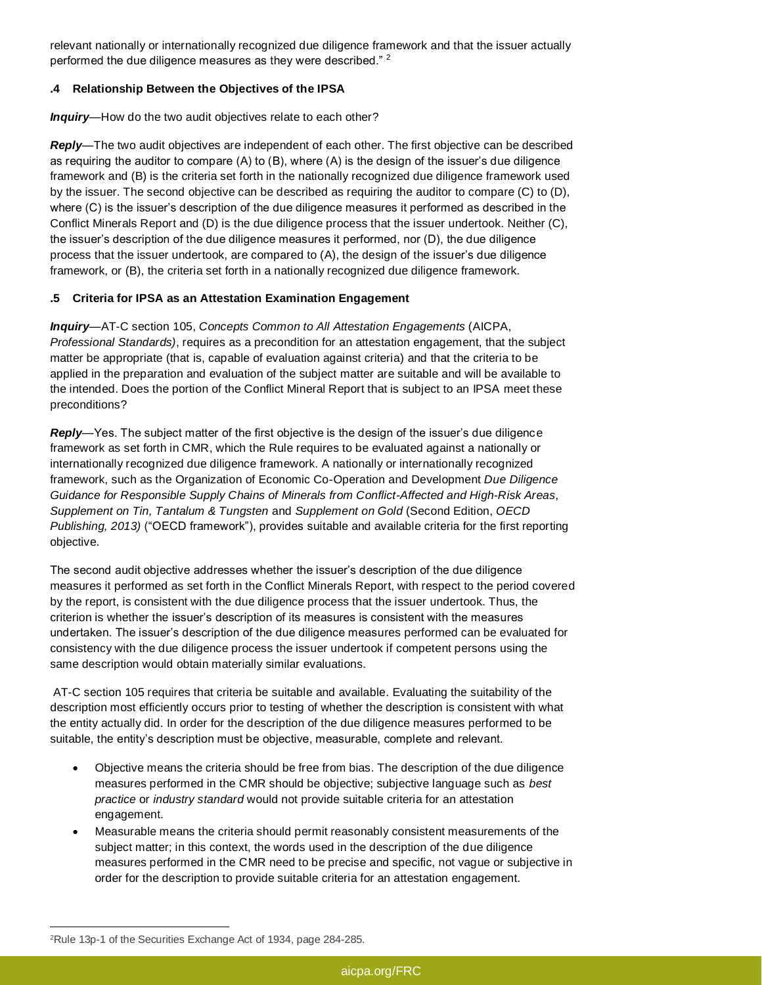relevant nationally or internationally recognized due diligence framework and that the issuer actually performed the due diligence measures as they were described."<sup>2</sup>

## **.4 Relationship Between the Objectives of the IPSA**

*Inquiry—*How do the two audit objectives relate to each other?

*Reply—*The two audit objectives are independent of each other. The first objective can be described as requiring the auditor to compare (A) to (B), where (A) is the design of the issuer's due diligence framework and (B) is the criteria set forth in the nationally recognized due diligence framework used by the issuer. The second objective can be described as requiring the auditor to compare (C) to (D), where (C) is the issuer's description of the due diligence measures it performed as described in the Conflict Minerals Report and (D) is the due diligence process that the issuer undertook. Neither (C), the issuer's description of the due diligence measures it performed, nor (D), the due diligence process that the issuer undertook, are compared to (A), the design of the issuer's due diligence framework, or (B), the criteria set forth in a nationally recognized due diligence framework.

## **.5 Criteria for IPSA as an Attestation Examination Engagement**

*Inquiry—*AT-C section 105, *Concepts Common to All Attestation Engagements* (AICPA, *Professional Standards)*, requires as a precondition for an attestation engagement, that the subject matter be appropriate (that is, capable of evaluation against criteria) and that the criteria to be applied in the preparation and evaluation of the subject matter are suitable and will be available to the intended. Does the portion of the Conflict Mineral Report that is subject to an IPSA meet these preconditions?

*Reply—*Yes. The subject matter of the first objective is the design of the issuer's due diligence framework as set forth in CMR, which the Rule requires to be evaluated against a nationally or internationally recognized due diligence framework. A nationally or internationally recognized framework, such as the Organization of Economic Co-Operation and Development *Due Diligence Guidance for Responsible Supply Chains of Minerals from Conflict-Affected and High-Risk Areas*, *Supplement on Tin, Tantalum & Tungsten* and *Supplement on Gold* (Second Edition, *OECD Publishing, 2013)* ("OECD framework"), provides suitable and available criteria for the first reporting objective.

The second audit objective addresses whether the issuer's description of the due diligence measures it performed as set forth in the Conflict Minerals Report, with respect to the period covered by the report, is consistent with the due diligence process that the issuer undertook. Thus, the criterion is whether the issuer's description of its measures is consistent with the measures undertaken. The issuer's description of the due diligence measures performed can be evaluated for consistency with the due diligence process the issuer undertook if competent persons using the same description would obtain materially similar evaluations.

AT-C section 105 requires that criteria be suitable and available. Evaluating the suitability of the description most efficiently occurs prior to testing of whether the description is consistent with what the entity actually did. In order for the description of the due diligence measures performed to be suitable, the entity's description must be objective, measurable, complete and relevant.

- Objective means the criteria should be free from bias. The description of the due diligence measures performed in the CMR should be objective; subjective language such as *best practice* or *industry standard* would not provide suitable criteria for an attestation engagement.
- Measurable means the criteria should permit reasonably consistent measurements of the subject matter; in this context, the words used in the description of the due diligence measures performed in the CMR need to be precise and specific, not vague or subjective in order for the description to provide suitable criteria for an attestation engagement.

 $\ddot{\phantom{a}}$ <sup>2</sup>Rule 13p-1 of the Securities Exchange Act of 1934, page 284-285.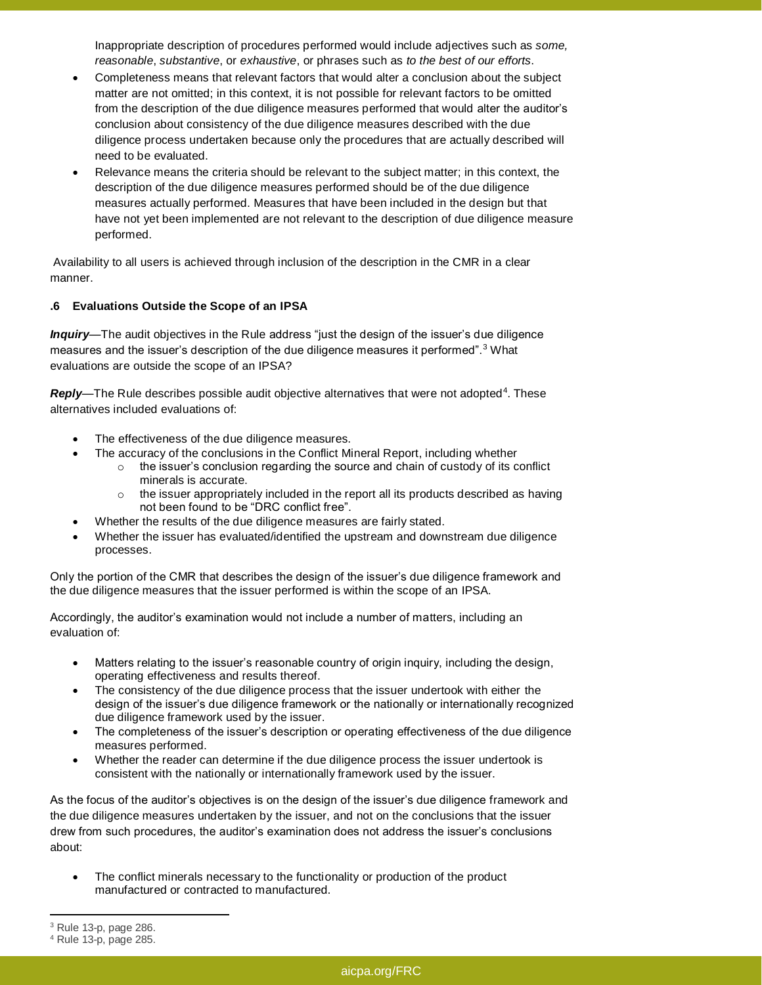Inappropriate description of procedures performed would include adjectives such as *some, reasonable*, *substantive*, or *exhaustive*, or phrases such as *to the best of our efforts*.

- Completeness means that relevant factors that would alter a conclusion about the subject matter are not omitted; in this context, it is not possible for relevant factors to be omitted from the description of the due diligence measures performed that would alter the auditor's conclusion about consistency of the due diligence measures described with the due diligence process undertaken because only the procedures that are actually described will need to be evaluated.
- Relevance means the criteria should be relevant to the subject matter; in this context, the description of the due diligence measures performed should be of the due diligence measures actually performed. Measures that have been included in the design but that have not yet been implemented are not relevant to the description of due diligence measure performed.

Availability to all users is achieved through inclusion of the description in the CMR in a clear manner.

## **.6 Evaluations Outside the Scope of an IPSA**

*Inquiry—*The audit objectives in the Rule address "just the design of the issuer's due diligence measures and the issuer's description of the due diligence measures it performed". $3$  What evaluations are outside the scope of an IPSA?

**Reply—The Rule describes possible audit objective alternatives that were not adopted<sup>4</sup>. These** alternatives included evaluations of:

- The effectiveness of the due diligence measures.
- The accuracy of the conclusions in the Conflict Mineral Report, including whether
	- $\circ$  the issuer's conclusion regarding the source and chain of custody of its conflict minerals is accurate.
	- $\circ$  the issuer appropriately included in the report all its products described as having not been found to be "DRC conflict free".
- Whether the results of the due diligence measures are fairly stated.
- Whether the issuer has evaluated/identified the upstream and downstream due diligence processes.

Only the portion of the CMR that describes the design of the issuer's due diligence framework and the due diligence measures that the issuer performed is within the scope of an IPSA.

Accordingly, the auditor's examination would not include a number of matters, including an evaluation of:

- Matters relating to the issuer's reasonable country of origin inquiry, including the design, operating effectiveness and results thereof.
- The consistency of the due diligence process that the issuer undertook with either the design of the issuer's due diligence framework or the nationally or internationally recognized due diligence framework used by the issuer.
- The completeness of the issuer's description or operating effectiveness of the due diligence measures performed.
- Whether the reader can determine if the due diligence process the issuer undertook is consistent with the nationally or internationally framework used by the issuer.

As the focus of the auditor's objectives is on the design of the issuer's due diligence framework and the due diligence measures undertaken by the issuer, and not on the conclusions that the issuer drew from such procedures, the auditor's examination does not address the issuer's conclusions about:

 The conflict minerals necessary to the functionality or production of the product manufactured or contracted to manufactured.

 $\ddot{\phantom{a}}$ 

<sup>3</sup> Rule 13-p, page 286.

<sup>4</sup> Rule 13-p, page 285.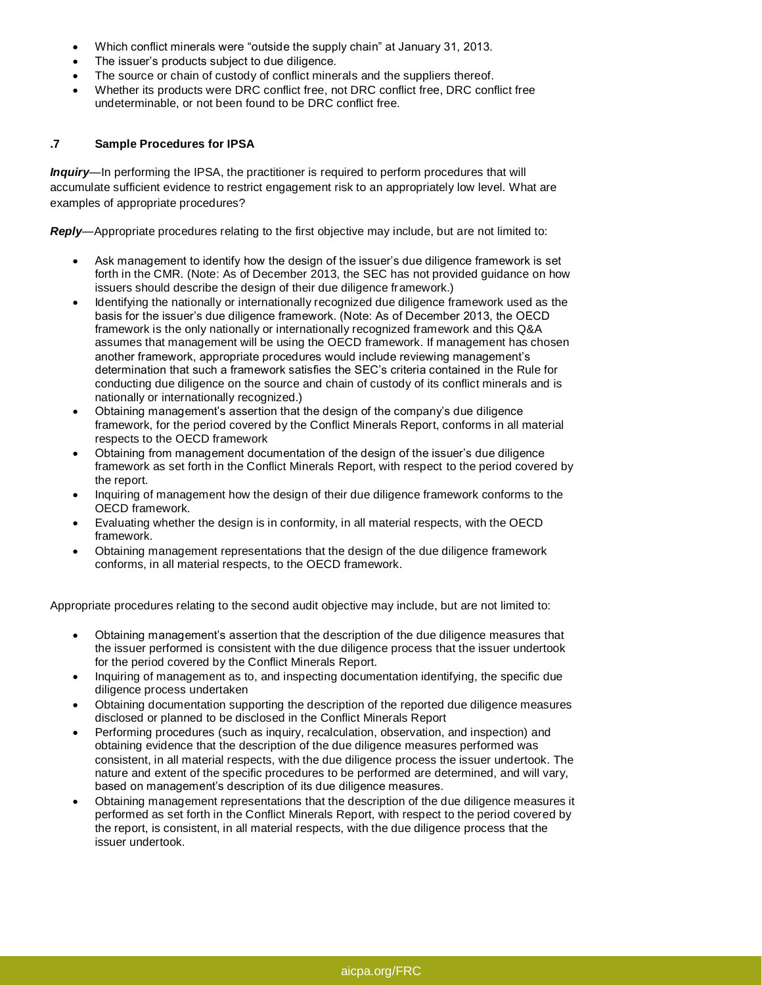- Which conflict minerals were "outside the supply chain" at January 31, 2013.
- The issuer's products subject to due diligence.
- The source or chain of custody of conflict minerals and the suppliers thereof.
- Whether its products were DRC conflict free, not DRC conflict free, DRC conflict free undeterminable, or not been found to be DRC conflict free.

## **.7 Sample Procedures for IPSA**

*Inquiry—*In performing the IPSA, the practitioner is required to perform procedures that will accumulate sufficient evidence to restrict engagement risk to an appropriately low level. What are examples of appropriate procedures?

*Reply—*Appropriate procedures relating to the first objective may include, but are not limited to:

- Ask management to identify how the design of the issuer's due diligence framework is set forth in the CMR. (Note: As of December 2013, the SEC has not provided guidance on how issuers should describe the design of their due diligence framework.)
- Identifying the nationally or internationally recognized due diligence framework used as the basis for the issuer's due diligence framework. (Note: As of December 2013, the OECD framework is the only nationally or internationally recognized framework and this Q&A assumes that management will be using the OECD framework. If management has chosen another framework, appropriate procedures would include reviewing management's determination that such a framework satisfies the SEC's criteria contained in the Rule for conducting due diligence on the source and chain of custody of its conflict minerals and is nationally or internationally recognized.)
- Obtaining management's assertion that the design of the company's due diligence framework, for the period covered by the Conflict Minerals Report, conforms in all material respects to the OECD framework
- Obtaining from management documentation of the design of the issuer's due diligence framework as set forth in the Conflict Minerals Report, with respect to the period covered by the report.
- Inquiring of management how the design of their due diligence framework conforms to the OECD framework.
- Evaluating whether the design is in conformity, in all material respects, with the OECD framework.
- Obtaining management representations that the design of the due diligence framework conforms, in all material respects, to the OECD framework.

Appropriate procedures relating to the second audit objective may include, but are not limited to:

- Obtaining management's assertion that the description of the due diligence measures that the issuer performed is consistent with the due diligence process that the issuer undertook for the period covered by the Conflict Minerals Report.
- Inquiring of management as to, and inspecting documentation identifying, the specific due diligence process undertaken
- Obtaining documentation supporting the description of the reported due diligence measures disclosed or planned to be disclosed in the Conflict Minerals Report
- Performing procedures (such as inquiry, recalculation, observation, and inspection) and obtaining evidence that the description of the due diligence measures performed was consistent, in all material respects, with the due diligence process the issuer undertook. The nature and extent of the specific procedures to be performed are determined, and will vary, based on management's description of its due diligence measures.
- Obtaining management representations that the description of the due diligence measures it performed as set forth in the Conflict Minerals Report, with respect to the period covered by the report, is consistent, in all material respects, with the due diligence process that the issuer undertook.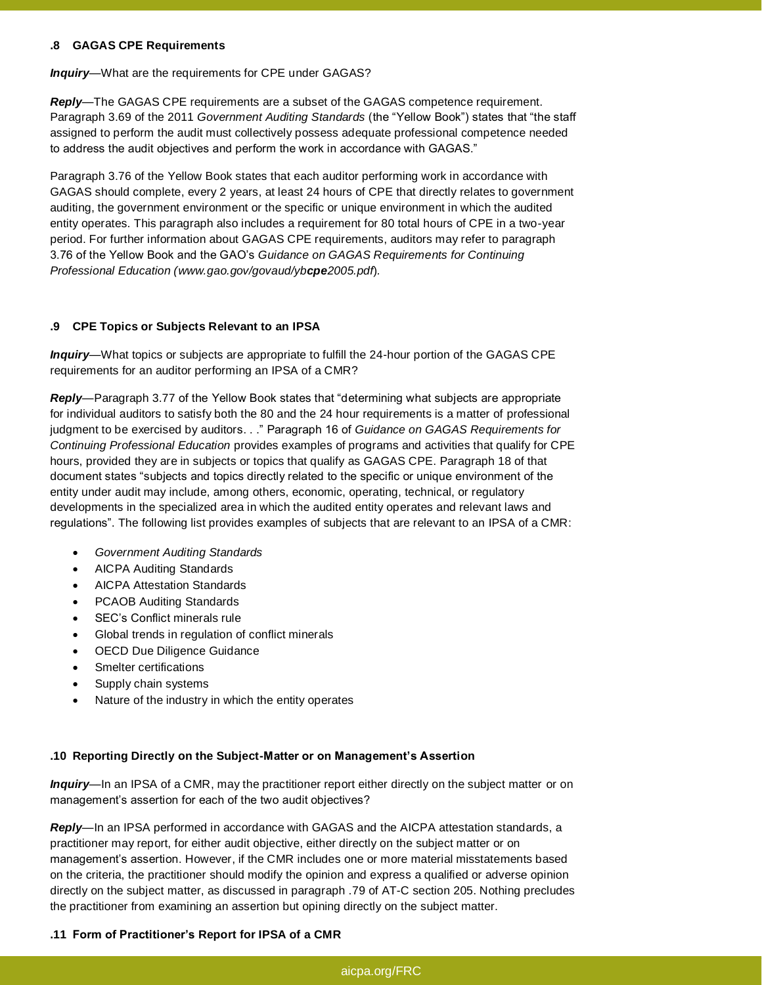#### **.8 GAGAS CPE Requirements**

#### *Inquiry—*What are the requirements for CPE under GAGAS?

*Reply—*The GAGAS CPE requirements are a subset of the GAGAS competence requirement. Paragraph 3.69 of the 2011 *Government Auditing Standards* (the "Yellow Book") states that "the staff assigned to perform the audit must collectively possess adequate professional competence needed to address the audit objectives and perform the work in accordance with GAGAS."

Paragraph 3.76 of the Yellow Book states that each auditor performing work in accordance with GAGAS should complete, every 2 years, at least 24 hours of CPE that directly relates to government auditing, the government environment or the specific or unique environment in which the audited entity operates. This paragraph also includes a requirement for 80 total hours of CPE in a two-year period. For further information about GAGAS CPE requirements, auditors may refer to paragraph 3.76 of the Yellow Book and the GAO's *Guidance on GAGAS Requirements for Continuing Professional Education (www.gao.gov/govaud/ybcpe2005.pdf*)*.*

#### **.9 CPE Topics or Subjects Relevant to an IPSA**

*Inquiry—*What topics or subjects are appropriate to fulfill the 24-hour portion of the GAGAS CPE requirements for an auditor performing an IPSA of a CMR?

*Reply—*Paragraph 3.77 of the Yellow Book states that "determining what subjects are appropriate for individual auditors to satisfy both the 80 and the 24 hour requirements is a matter of professional judgment to be exercised by auditors. . ." Paragraph 16 of *Guidance on GAGAS Requirements for Continuing Professional Education* provides examples of programs and activities that qualify for CPE hours, provided they are in subjects or topics that qualify as GAGAS CPE. Paragraph 18 of that document states "subjects and topics directly related to the specific or unique environment of the entity under audit may include, among others, economic, operating, technical, or regulatory developments in the specialized area in which the audited entity operates and relevant laws and regulations". The following list provides examples of subjects that are relevant to an IPSA of a CMR:

- *Government Auditing Standards*
- AICPA Auditing Standards
- AICPA Attestation Standards
- PCAOB Auditing Standards
- SEC's Conflict minerals rule
- Global trends in regulation of conflict minerals
- OECD Due Diligence Guidance
- Smelter certifications
- Supply chain systems
- Nature of the industry in which the entity operates

## **.10 Reporting Directly on the Subject-Matter or on Management's Assertion**

*Inquiry—*In an IPSA of a CMR, may the practitioner report either directly on the subject matter or on management's assertion for each of the two audit objectives?

*Reply—*In an IPSA performed in accordance with GAGAS and the AICPA attestation standards, a practitioner may report, for either audit objective, either directly on the subject matter or on management's assertion. However, if the CMR includes one or more material misstatements based on the criteria, the practitioner should modify the opinion and express a qualified or adverse opinion directly on the subject matter, as discussed in paragraph .79 of AT-C section 205. Nothing precludes the practitioner from examining an assertion but opining directly on the subject matter.

## **.11 Form of Practitioner's Report for IPSA of a CMR**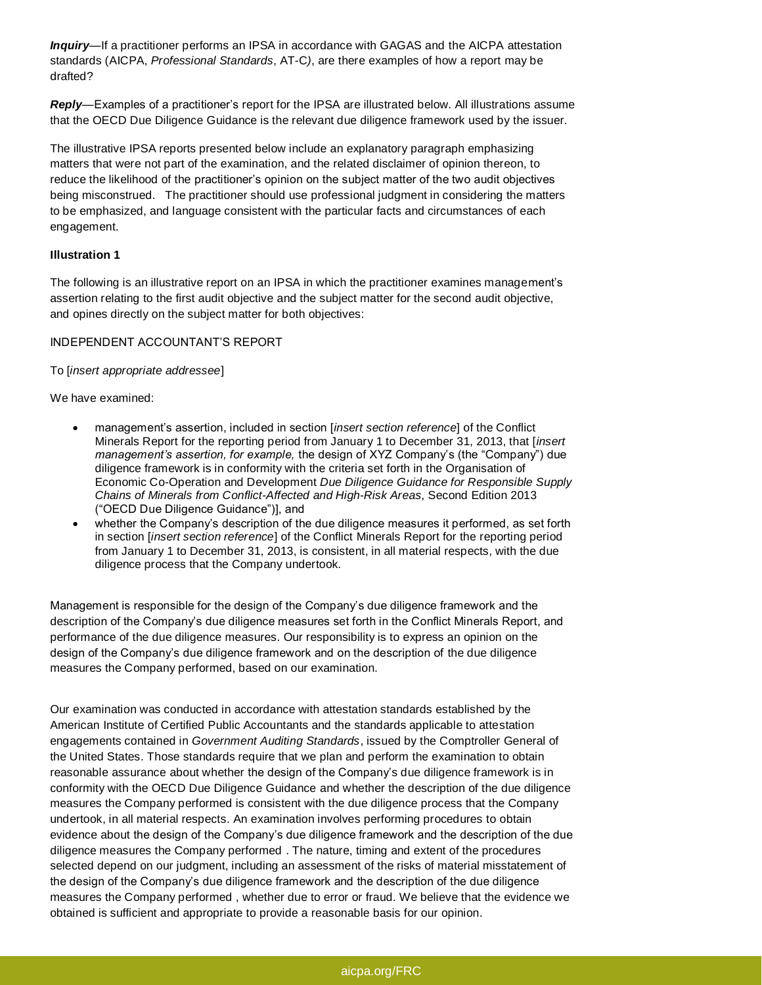*Inquiry—*If a practitioner performs an IPSA in accordance with GAGAS and the AICPA attestation standards (AICPA, *Professional Standards*, AT-C*)*, are there examples of how a report may be drafted?

*Reply—*Examples of a practitioner's report for the IPSA are illustrated below. All illustrations assume that the OECD Due Diligence Guidance is the relevant due diligence framework used by the issuer.

The illustrative IPSA reports presented below include an explanatory paragraph emphasizing matters that were not part of the examination, and the related disclaimer of opinion thereon, to reduce the likelihood of the practitioner's opinion on the subject matter of the two audit objectives being misconstrued. The practitioner should use professional judgment in considering the matters to be emphasized, and language consistent with the particular facts and circumstances of each engagement.

## **Illustration 1**

The following is an illustrative report on an IPSA in which the practitioner examines management's assertion relating to the first audit objective and the subject matter for the second audit objective, and opines directly on the subject matter for both objectives:

## INDEPENDENT ACCOUNTANT'S REPORT

To [*insert appropriate addressee*]

We have examined:

- management's assertion, included in section [*insert section reference*] of the Conflict Minerals Report for the reporting period from January 1 to December 31, 2013, that [*insert management's assertion, for example,* the design of XYZ Company's (the "Company") due diligence framework is in conformity with the criteria set forth in the Organisation of Economic Co-Operation and Development *Due Diligence Guidance for Responsible Supply Chains of Minerals from Conflict-Affected and High-Risk Areas*, Second Edition 2013 ("OECD Due Diligence Guidance")], and
- whether the Company's description of the due diligence measures it performed, as set forth in section [*insert section reference*] of the Conflict Minerals Report for the reporting period from January 1 to December 31, 2013, is consistent, in all material respects, with the due diligence process that the Company undertook.

Management is responsible for the design of the Company's due diligence framework and the description of the Company's due diligence measures set forth in the Conflict Minerals Report, and performance of the due diligence measures. Our responsibility is to express an opinion on the design of the Company's due diligence framework and on the description of the due diligence measures the Company performed, based on our examination.

Our examination was conducted in accordance with attestation standards established by the American Institute of Certified Public Accountants and the standards applicable to attestation engagements contained in *Government Auditing Standards*, issued by the Comptroller General of the United States. Those standards require that we plan and perform the examination to obtain reasonable assurance about whether the design of the Company's due diligence framework is in conformity with the OECD Due Diligence Guidance and whether the description of the due diligence measures the Company performed is consistent with the due diligence process that the Company undertook, in all material respects. An examination involves performing procedures to obtain evidence about the design of the Company's due diligence framework and the description of the due diligence measures the Company performed . The nature, timing and extent of the procedures selected depend on our judgment, including an assessment of the risks of material misstatement of the design of the Company's due diligence framework and the description of the due diligence measures the Company performed , whether due to error or fraud. We believe that the evidence we obtained is sufficient and appropriate to provide a reasonable basis for our opinion.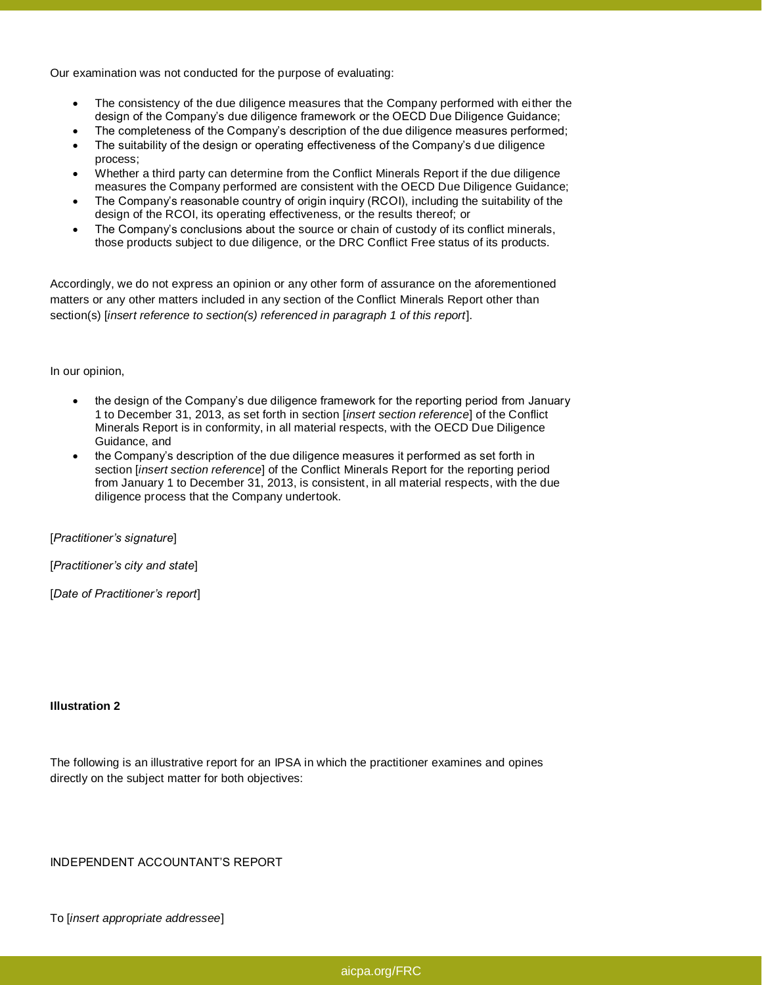Our examination was not conducted for the purpose of evaluating:

- The consistency of the due diligence measures that the Company performed with either the design of the Company's due diligence framework or the OECD Due Diligence Guidance;
- The completeness of the Company's description of the due diligence measures performed;
- The suitability of the design or operating effectiveness of the Company's due diligence process;
- Whether a third party can determine from the Conflict Minerals Report if the due diligence measures the Company performed are consistent with the OECD Due Diligence Guidance;
- The Company's reasonable country of origin inquiry (RCOI), including the suitability of the design of the RCOI, its operating effectiveness, or the results thereof; or
- The Company's conclusions about the source or chain of custody of its conflict minerals, those products subject to due diligence, or the DRC Conflict Free status of its products.

Accordingly, we do not express an opinion or any other form of assurance on the aforementioned matters or any other matters included in any section of the Conflict Minerals Report other than section(s) [*insert reference to section(s) referenced in paragraph 1 of this report*].

In our opinion,

- the design of the Company's due diligence framework for the reporting period from January 1 to December 31, 2013, as set forth in section [*insert section reference*] of the Conflict Minerals Report is in conformity, in all material respects, with the OECD Due Diligence Guidance, and
- the Company's description of the due diligence measures it performed as set forth in section [*insert section reference*] of the Conflict Minerals Report for the reporting period from January 1 to December 31, 2013, is consistent, in all material respects, with the due diligence process that the Company undertook.

[*Practitioner's signature*]

[*Practitioner's city and state*]

[*Date of Practitioner's report*]

#### **Illustration 2**

The following is an illustrative report for an IPSA in which the practitioner examines and opines directly on the subject matter for both objectives:

INDEPENDENT ACCOUNTANT'S REPORT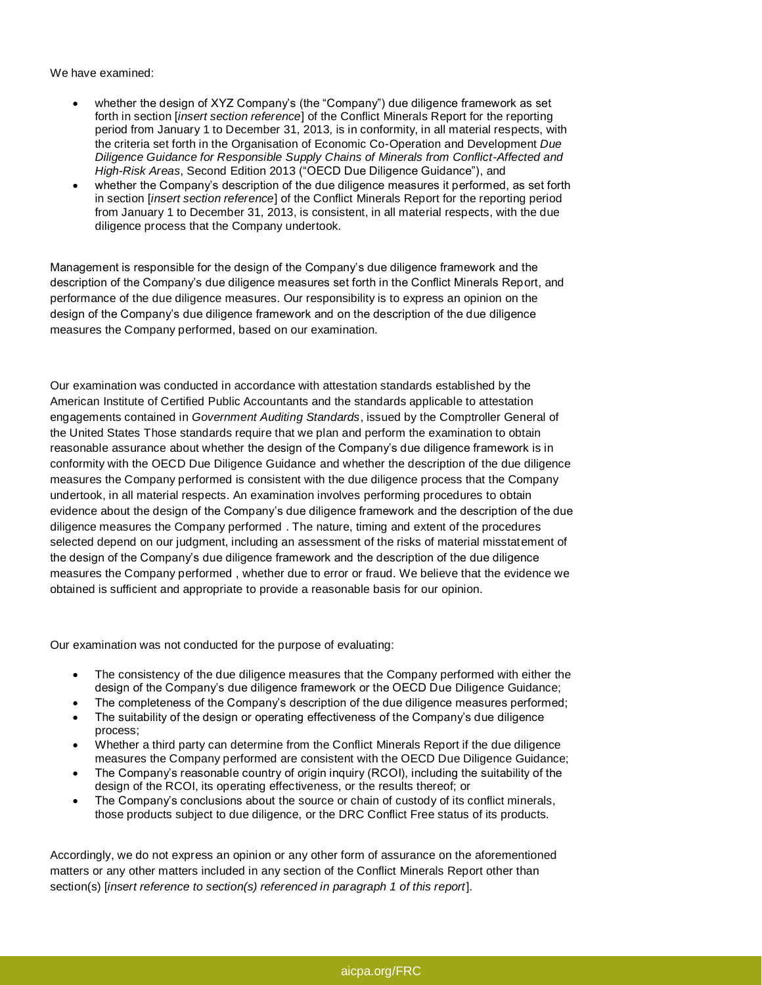We have examined:

- whether the design of XYZ Company's (the "Company") due diligence framework as set forth in section [*insert section reference*] of the Conflict Minerals Report for the reporting period from January 1 to December 31, 2013, is in conformity, in all material respects, with the criteria set forth in the Organisation of Economic Co-Operation and Development *Due Diligence Guidance for Responsible Supply Chains of Minerals from Conflict-Affected and High-Risk Areas*, Second Edition 2013 ("OECD Due Diligence Guidance"), and
- whether the Company's description of the due diligence measures it performed, as set forth in section [*insert section reference*] of the Conflict Minerals Report for the reporting period from January 1 to December 31, 2013, is consistent, in all material respects, with the due diligence process that the Company undertook.

Management is responsible for the design of the Company's due diligence framework and the description of the Company's due diligence measures set forth in the Conflict Minerals Report, and performance of the due diligence measures. Our responsibility is to express an opinion on the design of the Company's due diligence framework and on the description of the due diligence measures the Company performed, based on our examination.

Our examination was conducted in accordance with attestation standards established by the American Institute of Certified Public Accountants and the standards applicable to attestation engagements contained in *Government Auditing Standards*, issued by the Comptroller General of the United States Those standards require that we plan and perform the examination to obtain reasonable assurance about whether the design of the Company's due diligence framework is in conformity with the OECD Due Diligence Guidance and whether the description of the due diligence measures the Company performed is consistent with the due diligence process that the Company undertook, in all material respects. An examination involves performing procedures to obtain evidence about the design of the Company's due diligence framework and the description of the due diligence measures the Company performed . The nature, timing and extent of the procedures selected depend on our judgment, including an assessment of the risks of material misstatement of the design of the Company's due diligence framework and the description of the due diligence measures the Company performed , whether due to error or fraud. We believe that the evidence we obtained is sufficient and appropriate to provide a reasonable basis for our opinion.

Our examination was not conducted for the purpose of evaluating:

- The consistency of the due diligence measures that the Company performed with either the design of the Company's due diligence framework or the OECD Due Diligence Guidance;
- The completeness of the Company's description of the due diligence measures performed;
- The suitability of the design or operating effectiveness of the Company's due diligence process;
- Whether a third party can determine from the Conflict Minerals Report if the due diligence measures the Company performed are consistent with the OECD Due Diligence Guidance;
- The Company's reasonable country of origin inquiry (RCOI), including the suitability of the design of the RCOI, its operating effectiveness, or the results thereof; or
- The Company's conclusions about the source or chain of custody of its conflict minerals, those products subject to due diligence, or the DRC Conflict Free status of its products.

Accordingly, we do not express an opinion or any other form of assurance on the aforementioned matters or any other matters included in any section of the Conflict Minerals Report other than section(s) [*insert reference to section(s) referenced in paragraph 1 of this report*].

#### [aicpa.org/FRC](htp://www.aicpa.org/FRC)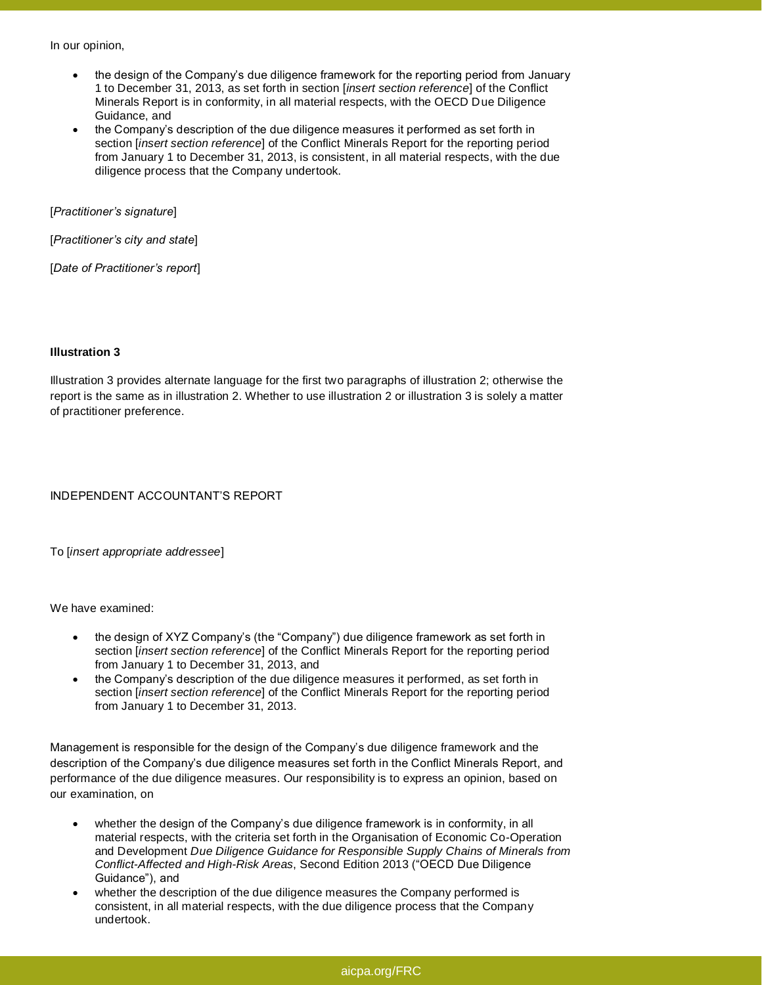In our opinion,

- the design of the Company's due diligence framework for the reporting period from January 1 to December 31, 2013, as set forth in section [*insert section reference*] of the Conflict Minerals Report is in conformity, in all material respects, with the OECD Due Diligence Guidance, and
- the Company's description of the due diligence measures it performed as set forth in section [*insert section reference*] of the Conflict Minerals Report for the reporting period from January 1 to December 31, 2013, is consistent, in all material respects, with the due diligence process that the Company undertook.

[*Practitioner's signature*]

[*Practitioner's city and state*]

[*Date of Practitioner's report*]

#### **Illustration 3**

Illustration 3 provides alternate language for the first two paragraphs of illustration 2; otherwise the report is the same as in illustration 2. Whether to use illustration 2 or illustration 3 is solely a matter of practitioner preference.

INDEPENDENT ACCOUNTANT'S REPORT

To [*insert appropriate addressee*]

We have examined:

- the design of XYZ Company's (the "Company") due diligence framework as set forth in section [*insert section reference*] of the Conflict Minerals Report for the reporting period from January 1 to December 31, 2013, and
- the Company's description of the due diligence measures it performed, as set forth in section [*insert section reference*] of the Conflict Minerals Report for the reporting period from January 1 to December 31, 2013.

Management is responsible for the design of the Company's due diligence framework and the description of the Company's due diligence measures set forth in the Conflict Minerals Report, and performance of the due diligence measures. Our responsibility is to express an opinion, based on our examination, on

- whether the design of the Company's due diligence framework is in conformity, in all material respects, with the criteria set forth in the Organisation of Economic Co-Operation and Development *Due Diligence Guidance for Responsible Supply Chains of Minerals from Conflict-Affected and High-Risk Areas*, Second Edition 2013 ("OECD Due Diligence Guidance"), and
- whether the description of the due diligence measures the Company performed is consistent, in all material respects, with the due diligence process that the Company undertook.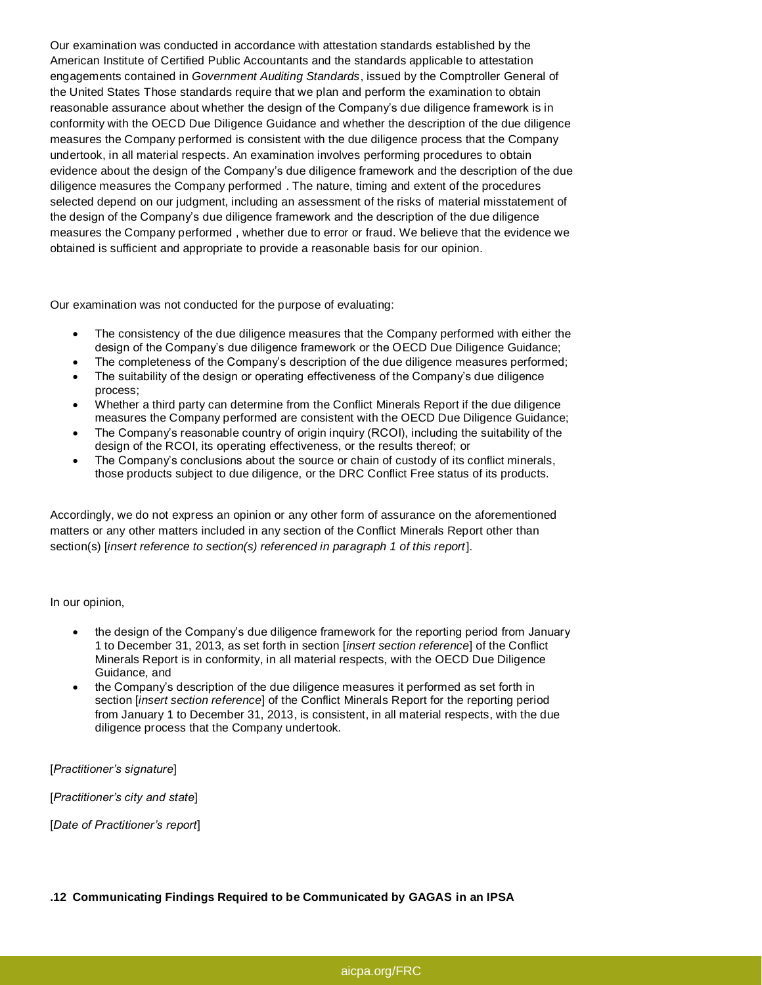Our examination was conducted in accordance with attestation standards established by the American Institute of Certified Public Accountants and the standards applicable to attestation engagements contained in *Government Auditing Standards*, issued by the Comptroller General of the United States Those standards require that we plan and perform the examination to obtain reasonable assurance about whether the design of the Company's due diligence framework is in conformity with the OECD Due Diligence Guidance and whether the description of the due diligence measures the Company performed is consistent with the due diligence process that the Company undertook, in all material respects. An examination involves performing procedures to obtain evidence about the design of the Company's due diligence framework and the description of the due diligence measures the Company performed . The nature, timing and extent of the procedures selected depend on our judgment, including an assessment of the risks of material misstatement of the design of the Company's due diligence framework and the description of the due diligence measures the Company performed , whether due to error or fraud. We believe that the evidence we obtained is sufficient and appropriate to provide a reasonable basis for our opinion.

Our examination was not conducted for the purpose of evaluating:

- The consistency of the due diligence measures that the Company performed with either the design of the Company's due diligence framework or the OECD Due Diligence Guidance;
- The completeness of the Company's description of the due diligence measures performed;
- The suitability of the design or operating effectiveness of the Company's due diligence process;
- Whether a third party can determine from the Conflict Minerals Report if the due diligence measures the Company performed are consistent with the OECD Due Diligence Guidance;
- The Company's reasonable country of origin inquiry (RCOI), including the suitability of the design of the RCOI, its operating effectiveness, or the results thereof; or
- The Company's conclusions about the source or chain of custody of its conflict minerals, those products subject to due diligence, or the DRC Conflict Free status of its products.

Accordingly, we do not express an opinion or any other form of assurance on the aforementioned matters or any other matters included in any section of the Conflict Minerals Report other than section(s) [*insert reference to section(s) referenced in paragraph 1 of this report*].

In our opinion,

- the design of the Company's due diligence framework for the reporting period from January 1 to December 31, 2013, as set forth in section [*insert section reference*] of the Conflict Minerals Report is in conformity, in all material respects, with the OECD Due Diligence Guidance, and
- the Company's description of the due diligence measures it performed as set forth in section [*insert section reference*] of the Conflict Minerals Report for the reporting period from January 1 to December 31, 2013, is consistent, in all material respects, with the due diligence process that the Company undertook.

[*Practitioner's signature*]

[*Practitioner's city and state*]

[*Date of Practitioner's report*]

**.12 Communicating Findings Required to be Communicated by GAGAS in an IPSA**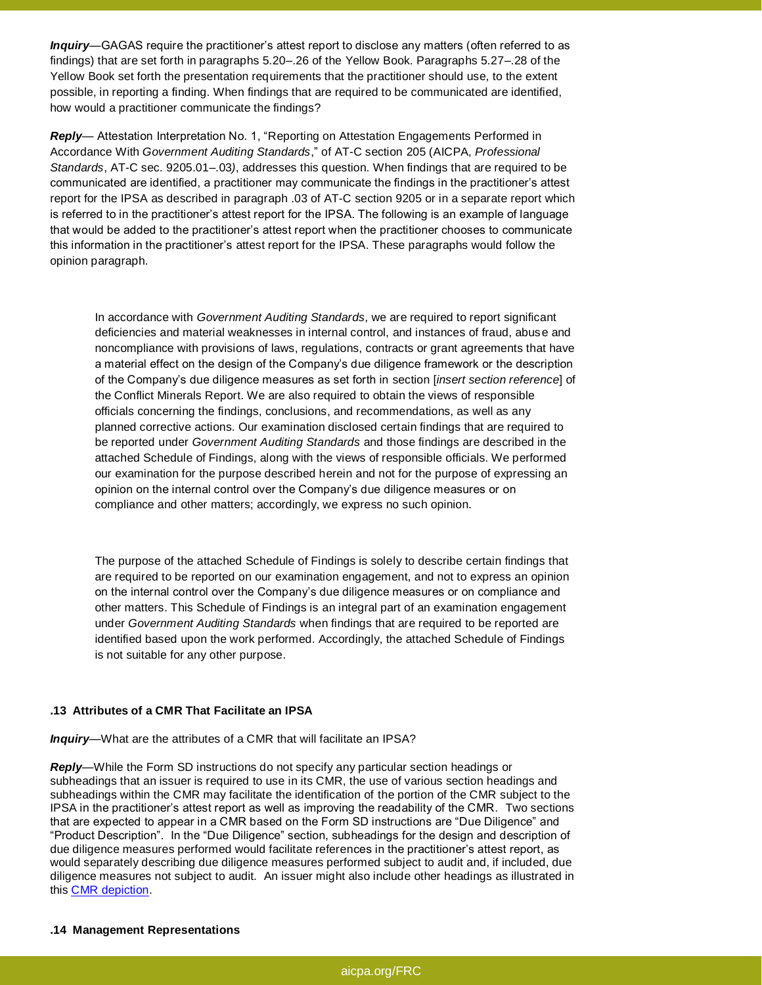*Inquiry—*GAGAS require the practitioner's attest report to disclose any matters (often referred to as findings) that are set forth in paragraphs 5.20–.26 of the Yellow Book. Paragraphs 5.27–.28 of the Yellow Book set forth the presentation requirements that the practitioner should use, to the extent possible, in reporting a finding. When findings that are required to be communicated are identified, how would a practitioner communicate the findings?

*Reply—* Attestation Interpretation No. 1, "Reporting on Attestation Engagements Performed in Accordance With *Government Auditing Standards*," of AT-C section 205 (AICPA, *Professional Standards*, AT-C sec. 9205.01–.03*)*, addresses this question. When findings that are required to be communicated are identified, a practitioner may communicate the findings in the practitioner's attest report for the IPSA as described in paragraph .03 of AT-C section 9205 or in a separate report which is referred to in the practitioner's attest report for the IPSA. The following is an example of language that would be added to the practitioner's attest report when the practitioner chooses to communicate this information in the practitioner's attest report for the IPSA. These paragraphs would follow the opinion paragraph.

In accordance with *Government Auditing Standards*, we are required to report significant deficiencies and material weaknesses in internal control, and instances of fraud, abuse and noncompliance with provisions of laws, regulations, contracts or grant agreements that have a material effect on the design of the Company's due diligence framework or the description of the Company's due diligence measures as set forth in section [*insert section reference*] of the Conflict Minerals Report. We are also required to obtain the views of responsible officials concerning the findings, conclusions, and recommendations, as well as any planned corrective actions. Our examination disclosed certain findings that are required to be reported under *Government Auditing Standards* and those findings are described in the attached Schedule of Findings, along with the views of responsible officials. We performed our examination for the purpose described herein and not for the purpose of expressing an opinion on the internal control over the Company's due diligence measures or on compliance and other matters; accordingly, we express no such opinion.

The purpose of the attached Schedule of Findings is solely to describe certain findings that are required to be reported on our examination engagement, and not to express an opinion on the internal control over the Company's due diligence measures or on compliance and other matters. This Schedule of Findings is an integral part of an examination engagement under *Government Auditing Standards* when findings that are required to be reported are identified based upon the work performed. Accordingly, the attached Schedule of Findings is not suitable for any other purpose.

#### **.13 Attributes of a CMR That Facilitate an IPSA**

*Inquiry—*What are the attributes of a CMR that will facilitate an IPSA?

*Reply—*While the Form SD instructions do not specify any particular section headings or subheadings that an issuer is required to use in its CMR, the use of various section headings and subheadings within the CMR may facilitate the identification of the portion of the CMR subject to the IPSA in the practitioner's attest report as well as improving the readability of the CMR. Two sections that are expected to appear in a CMR based on the Form SD instructions are "Due Diligence" and "Product Description". In the "Due Diligence" section, subheadings for the design and description of due diligence measures performed would facilitate references in the practitioner's attest report, as would separately describing due diligence measures performed subject to audit and, if included, due diligence measures not subject to audit. An issuer might also include other headings as illustrated in this [CMR depiction.](file:///C:/Users/agoldman/Documents/ASB%20Conflict%20minerals/Materials%20for%20website/Q&A%20CMR%20Depiction%20-%20graphic.pdf)

#### **.14 Management Representations**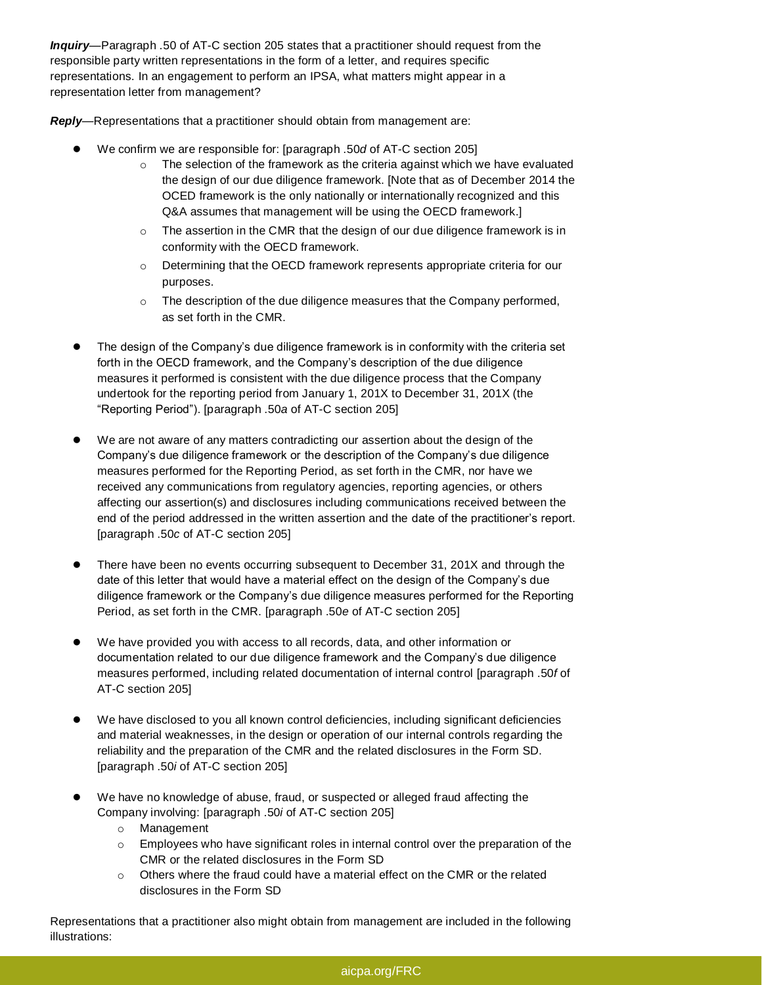*Inquiry—*Paragraph .50 of AT-C section 205 states that a practitioner should request from the responsible party written representations in the form of a letter, and requires specific representations. In an engagement to perform an IPSA, what matters might appear in a representation letter from management?

*Reply—*Representations that a practitioner should obtain from management are:

- We confirm we are responsible for: [paragraph .50*d* of AT-C section 205]
	- $\circ$  The selection of the framework as the criteria against which we have evaluated the design of our due diligence framework. [Note that as of December 2014 the OCED framework is the only nationally or internationally recognized and this Q&A assumes that management will be using the OECD framework.]
	- o The assertion in the CMR that the design of our due diligence framework is in conformity with the OECD framework.
	- o Determining that the OECD framework represents appropriate criteria for our purposes.
	- o The description of the due diligence measures that the Company performed, as set forth in the CMR.
- The design of the Company's due diligence framework is in conformity with the criteria set forth in the OECD framework, and the Company's description of the due diligence measures it performed is consistent with the due diligence process that the Company undertook for the reporting period from January 1, 201X to December 31, 201X (the "Reporting Period"). [paragraph .50*a* of AT-C section 205]
- We are not aware of any matters contradicting our assertion about the design of the Company's due diligence framework or the description of the Company's due diligence measures performed for the Reporting Period, as set forth in the CMR, nor have we received any communications from regulatory agencies, reporting agencies, or others affecting our assertion(s) and disclosures including communications received between the end of the period addressed in the written assertion and the date of the practitioner's report. [paragraph .50*c* of AT-C section 205]
- There have been no events occurring subsequent to December 31, 201X and through the date of this letter that would have a material effect on the design of the Company's due diligence framework or the Company's due diligence measures performed for the Reporting Period, as set forth in the CMR. [paragraph .50*e* of AT-C section 205]
- We have provided you with access to all records, data, and other information or documentation related to our due diligence framework and the Company's due diligence measures performed, including related documentation of internal control [paragraph .50*f* of AT-C section 205]
- We have disclosed to you all known control deficiencies, including significant deficiencies and material weaknesses, in the design or operation of our internal controls regarding the reliability and the preparation of the CMR and the related disclosures in the Form SD. [paragraph .50*i* of AT-C section 205]
- We have no knowledge of abuse, fraud, or suspected or alleged fraud affecting the Company involving: [paragraph .50*i* of AT-C section 205]
	- o Management
	- $\circ$  Employees who have significant roles in internal control over the preparation of the CMR or the related disclosures in the Form SD
	- $\circ$  Others where the fraud could have a material effect on the CMR or the related disclosures in the Form SD

Representations that a practitioner also might obtain from management are included in the following illustrations:

## [aicpa.org/FRC](htp://www.aicpa.org/FRC)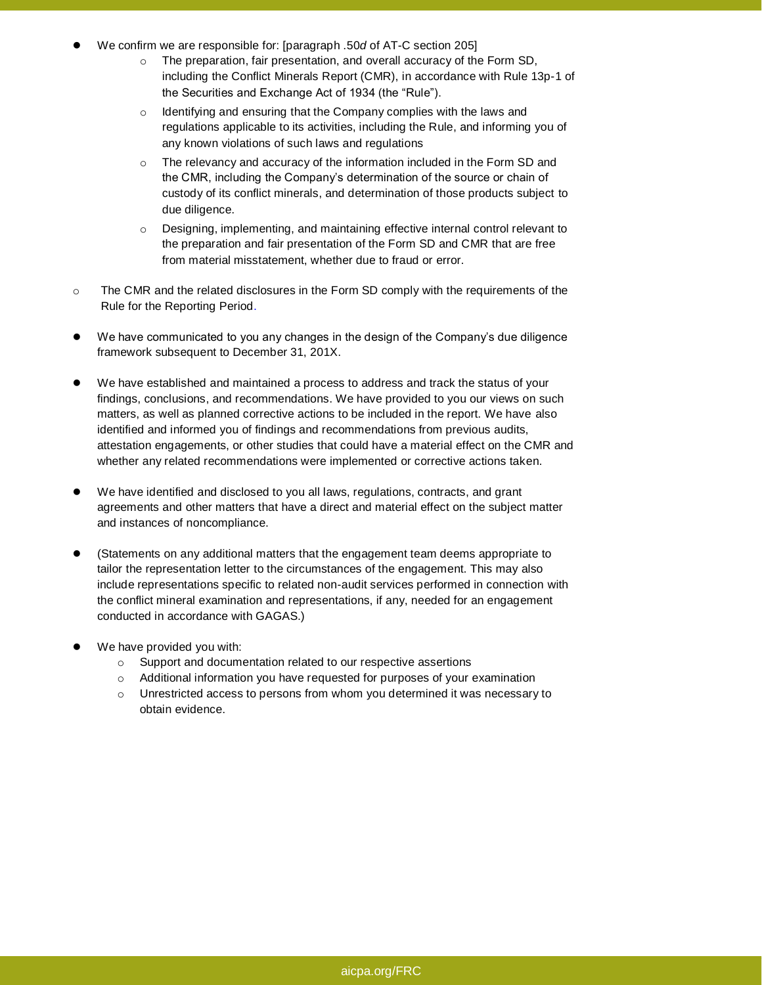- We confirm we are responsible for: [paragraph .50*d* of AT-C section 205]
	- o The preparation, fair presentation, and overall accuracy of the Form SD, including the Conflict Minerals Report (CMR), in accordance with Rule 13p-1 of the Securities and Exchange Act of 1934 (the "Rule").
	- o Identifying and ensuring that the Company complies with the laws and regulations applicable to its activities, including the Rule, and informing you of any known violations of such laws and regulations
	- o The relevancy and accuracy of the information included in the Form SD and the CMR, including the Company's determination of the source or chain of custody of its conflict minerals, and determination of those products subject to due diligence.
	- o Designing, implementing, and maintaining effective internal control relevant to the preparation and fair presentation of the Form SD and CMR that are free from material misstatement, whether due to fraud or error.
- $\circ$  The CMR and the related disclosures in the Form SD comply with the requirements of the Rule for the Reporting Period.
- We have communicated to you any changes in the design of the Company's due diligence framework subsequent to December 31, 201X.
- We have established and maintained a process to address and track the status of your findings, conclusions, and recommendations. We have provided to you our views on such matters, as well as planned corrective actions to be included in the report. We have also identified and informed you of findings and recommendations from previous audits, attestation engagements, or other studies that could have a material effect on the CMR and whether any related recommendations were implemented or corrective actions taken.
- We have identified and disclosed to you all laws, regulations, contracts, and grant agreements and other matters that have a direct and material effect on the subject matter and instances of noncompliance.
- (Statements on any additional matters that the engagement team deems appropriate to tailor the representation letter to the circumstances of the engagement. This may also include representations specific to related non-audit services performed in connection with the conflict mineral examination and representations, if any, needed for an engagement conducted in accordance with GAGAS.)
- We have provided you with:
	- o Support and documentation related to our respective assertions
	- o Additional information you have requested for purposes of your examination
	- o Unrestricted access to persons from whom you determined it was necessary to obtain evidence.